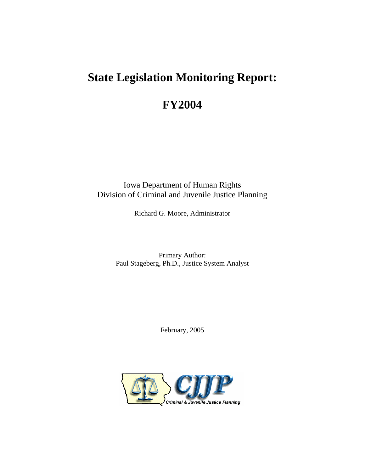# **State Legislation Monitoring Report:**

# **FY2004**

Iowa Department of Human Rights Division of Criminal and Juvenile Justice Planning

Richard G. Moore, Administrator

Primary Author: Paul Stageberg, Ph.D., Justice System Analyst

February, 2005

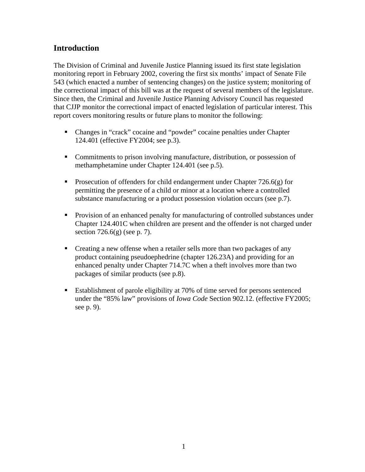# **Introduction**

The Division of Criminal and Juvenile Justice Planning issued its first state legislation monitoring report in February 2002, covering the first six months' impact of Senate File 543 (which enacted a number of sentencing changes) on the justice system; monitoring of the correctional impact of this bill was at the request of several members of the legislature. Since then, the Criminal and Juvenile Justice Planning Advisory Council has requested that CJJP monitor the correctional impact of enacted legislation of particular interest. This report covers monitoring results or future plans to monitor the following:

- Changes in "crack" cocaine and "powder" cocaine penalties under Chapter 124.401 (effective FY2004; see p.3).
- Commitments to prison involving manufacture, distribution, or possession of methamphetamine under Chapter 124.401 (see p.5).
- **Prosecution of offenders for child endangerment under Chapter 726.6(g) for** permitting the presence of a child or minor at a location where a controlled substance manufacturing or a product possession violation occurs (see p.7).
- **Provision of an enhanced penalty for manufacturing of controlled substances under** Chapter 124.401C when children are present and the offender is not charged under section  $726.6(g)$  (see p. 7).
- Creating a new offense when a retailer sells more than two packages of any product containing pseudoephedrine (chapter 126.23A) and providing for an enhanced penalty under Chapter 714.7C when a theft involves more than two packages of similar products (see p.8).
- Establishment of parole eligibility at 70% of time served for persons sentenced under the "85% law" provisions of *Iowa Code* Section 902.12. (effective FY2005; see p. 9).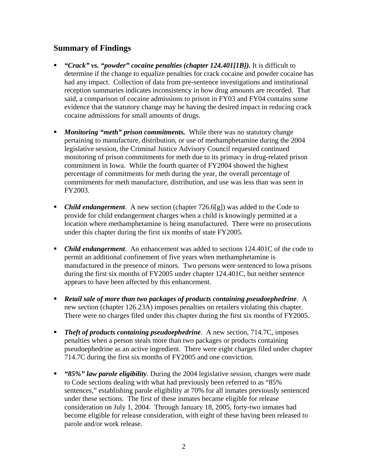# **Summary of Findings**

- *"Crack" vs. "powder" cocaine penalties (chapter 124.401[1B]).* It is difficult to determine if the change to equalize penalties for crack cocaine and powder cocaine has had any impact. Collection of data from pre-sentence investigations and institutional reception summaries indicates inconsistency in how drug amounts are recorded. That said, a comparison of cocaine admissions to prison in FY03 and FY04 contains some evidence that the statutory change may be having the desired impact in reducing crack cocaine admissions for small amounts of drugs.
- **Monitoring "meth" prison commitments.** While there was no statutory change pertaining to manufacture, distribution, or use of methamphetamine during the 2004 legislative session, the Criminal Justice Advisory Council requested continued monitoring of prison commitments for meth due to its primacy in drug-related prison commitment in Iowa. While the fourth quarter of FY2004 showed the highest percentage of commitments for meth during the year, the overall percentage of commitments for meth manufacture, distribution, and use was less than was seen in FY2003.
- *Child endangerment*. A new section (chapter 726.6[g]) was added to the Code to provide for child endangerment charges when a child is knowingly permitted at a location where methamphetamine is being manufactured. There were no prosecutions under this chapter during the first six months of state FY2005.
- *Child endangerment*. An enhancement was added to sections 124.401C of the code to permit an additional confinement of five years when methamphetamine is manufactured in the presence of minors. Two persons were sentenced to Iowa prisons during the first six months of FY2005 under chapter 124.401C, but neither sentence appears to have been affected by this enhancement.
- *Retail sale of more than two packages of products containing pseudoephedrine*. A new section (chapter 126.23A) imposes penalties on retailers violating this chapter. There were no charges filed under this chapter during the first six months of FY2005.
- **Theft of products containing pseudoephedrine.** A new section, 714.7C, imposes penalties when a person steals more than two packages or products containing pseudoephedrine as an active ingredient. There were eight charges filed under chapter 714.7C during the first six months of FY2005 and one conviction.
- *"85%" law parole eligibility*. During the 2004 legislative session, changes were made to Code sections dealing with what had previously been referred to as "85% sentences," establishing parole eligibility at 70% for all inmates previously sentenced under these sections. The first of these inmates became eligible for release consideration on July 1, 2004. Through January 18, 2005, forty-two inmates had become eligible for release consideration, with eight of these having been released to parole and/or work release.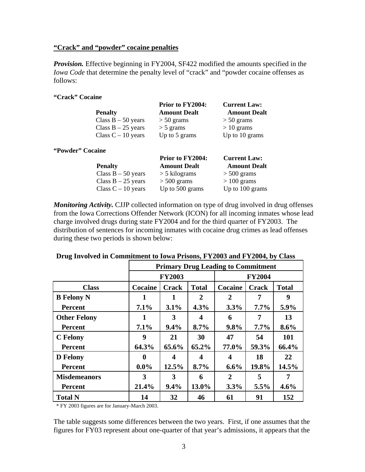#### **"Crack" and "powder" cocaine penalties**

*Provision.* Effective beginning in FY2004, SF422 modified the amounts specified in the *Iowa Code* that determine the penalty level of "crack" and "powder cocaine offenses as follows:

#### **"Crack" Cocaine**

|                      | Prior to FY2004:    | <b>Current Law:</b> |
|----------------------|---------------------|---------------------|
| <b>Penalty</b>       | <b>Amount Dealt</b> | <b>Amount Dealt</b> |
| Class $B - 50$ years | $> 50$ grams        | $> 50$ grams        |
| Class $B - 25$ years | $>$ 5 grams         | $> 10$ grams        |
| Class $C - 10$ years | Up to 5 grams       | Up to 10 grams      |
| "Powder" Cocaine     |                     |                     |
|                      | Prior to FY2004:    | <b>Current Law:</b> |

|                      | 11010               | van viit van v      |
|----------------------|---------------------|---------------------|
| <b>Penalty</b>       | <b>Amount Dealt</b> | <b>Amount Dealt</b> |
| Class $B - 50$ years | $>$ 5 kilograms     | $> 500$ grams       |
| Class $B - 25$ years | $> 500$ grams       | $>100$ grams        |
| Class $C - 10$ years | Up to 500 grams     | Up to 100 grams     |

*Monitoring Activity.* CJJP collected information on type of drug involved in drug offenses from the Iowa Corrections Offender Network (ICON) for all incoming inmates whose lead charge involved drugs during state FY2004 and for the third quarter of FY2003. The distribution of sentences for incoming inmates with cocaine drug crimes as lead offenses during these two periods is shown below:

|                     | <b>Primary Drug Leading to Commitment</b> |               |                  |                  |              |              |
|---------------------|-------------------------------------------|---------------|------------------|------------------|--------------|--------------|
|                     |                                           | <b>FY2003</b> |                  | <b>FY2004</b>    |              |              |
| <b>Class</b>        | Cocaine                                   | <b>Crack</b>  | <b>Total</b>     | Cocaine          | <b>Crack</b> | <b>Total</b> |
| <b>B</b> Felony N   |                                           |               | $\overline{2}$   | 2                | 7            | 9            |
| <b>Percent</b>      | 7.1%                                      | 3.1%          | 4.3%             | 3.3%             | $7.7\%$      | 5.9%         |
| <b>Other Felony</b> | 1                                         | 3             | $\boldsymbol{4}$ | 6                | 7            | 13           |
| <b>Percent</b>      | 7.1%                                      | 9.4%          | 8.7%             | 9.8%             | $7.7\%$      | 8.6%         |
| <b>C</b> Felony     | 9                                         | 21            | 30               | 47               | 54           | 101          |
| <b>Percent</b>      | 64.3%                                     | 65.6%         | 65.2%            | 77.0%            | 59.3%        | 66.4%        |
| <b>D</b> Felony     | $\mathbf 0$                               | 4             | 4                | $\boldsymbol{4}$ | 18           | 22           |
| <b>Percent</b>      | $0.0\%$                                   | 12.5%         | 8.7%             | $6.6\%$          | 19.8%        | 14.5%        |
| <b>Misdemeanors</b> | 3                                         | 3             | 6                | 2                | 5            | 7            |
| <b>Percent</b>      | 21.4%                                     | 9.4%          | 13.0%            | 3.3%             | 5.5%         | 4.6%         |
| <b>Total N</b>      | 14                                        | 32            | 46               | 61               | 91           | 152          |

#### **Drug Involved in Commitment to Iowa Prisons, FY2003 and FY2004, by Class**

\* FY 2003 figures are for January-March 2003.

The table suggests some differences between the two years. First, if one assumes that the figures for FY03 represent about one-quarter of that year's admissions, it appears that the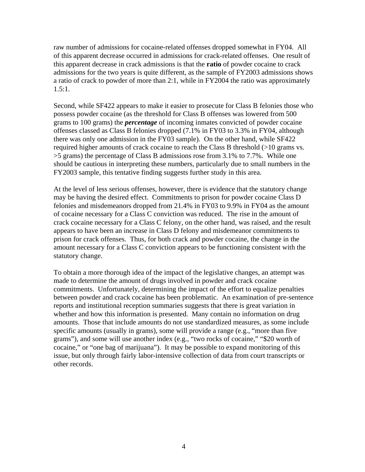raw number of admissions for cocaine-related offenses dropped somewhat in FY04. All of this apparent decrease occurred in admissions for crack-related offenses. One result of this apparent decrease in crack admissions is that the **ratio** of powder cocaine to crack admissions for the two years is quite different, as the sample of FY2003 admissions shows a ratio of crack to powder of more than 2:1, while in FY2004 the ratio was approximately 1.5:1.

Second, while SF422 appears to make it easier to prosecute for Class B felonies those who possess powder cocaine (as the threshold for Class B offenses was lowered from 500 grams to 100 grams) the *percentage* of incoming inmates convicted of powder cocaine offenses classed as Class B felonies dropped (7.1% in FY03 to 3.3% in FY04, although there was only one admission in the FY03 sample). On the other hand, while SF422 required higher amounts of crack cocaine to reach the Class B threshold (>10 grams vs. >5 grams) the percentage of Class B admissions rose from 3.1% to 7.7%. While one should be cautious in interpreting these numbers, particularly due to small numbers in the FY2003 sample, this tentative finding suggests further study in this area.

At the level of less serious offenses, however, there is evidence that the statutory change may be having the desired effect. Commitments to prison for powder cocaine Class D felonies and misdemeanors dropped from 21.4% in FY03 to 9.9% in FY04 as the amount of cocaine necessary for a Class C conviction was reduced. The rise in the amount of crack cocaine necessary for a Class C felony, on the other hand, was raised, and the result appears to have been an increase in Class D felony and misdemeanor commitments to prison for crack offenses. Thus, for both crack and powder cocaine, the change in the amount necessary for a Class C conviction appears to be functioning consistent with the statutory change.

To obtain a more thorough idea of the impact of the legislative changes, an attempt was made to determine the amount of drugs involved in powder and crack cocaine commitments. Unfortunately, determining the impact of the effort to equalize penalties between powder and crack cocaine has been problematic. An examination of pre-sentence reports and institutional reception summaries suggests that there is great variation in whether and how this information is presented. Many contain no information on drug amounts. Those that include amounts do not use standardized measures, as some include specific amounts (usually in grams), some will provide a range (e.g., "more than five grams"), and some will use another index (e.g., "two rocks of cocaine," "\$20 worth of cocaine," or "one bag of marijuana"). It may be possible to expand monitoring of this issue, but only through fairly labor-intensive collection of data from court transcripts or other records.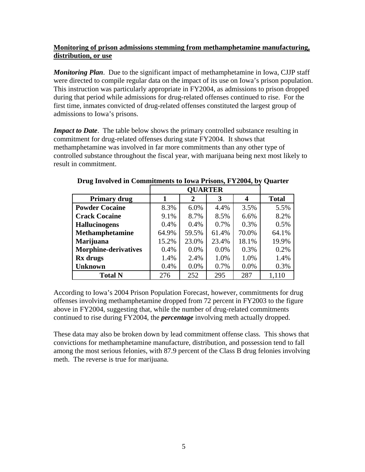## **Monitoring of prison admissions stemming from methamphetamine manufacturing, distribution, or use**

*Monitoring Plan*. Due to the significant impact of methamphetamine in Iowa, CJJP staff were directed to compile regular data on the impact of its use on Iowa's prison population. This instruction was particularly appropriate in FY2004, as admissions to prison dropped during that period while admissions for drug-related offenses continued to rise. For the first time, inmates convicted of drug-related offenses constituted the largest group of admissions to Iowa's prisons.

*Impact to Date*. The table below shows the primary controlled substance resulting in commitment for drug-related offenses during state FY2004. It shows that methamphetamine was involved in far more commitments than any other type of controlled substance throughout the fiscal year, with marijuana being next most likely to result in commitment.

| <b>Primary drug</b>         |       | $\mathbf 2$ | 3     | 4     | <b>Total</b> |
|-----------------------------|-------|-------------|-------|-------|--------------|
| <b>Powder Cocaine</b>       | 8.3%  | 6.0%        | 4.4%  | 3.5%  | 5.5%         |
| <b>Crack Cocaine</b>        | 9.1%  | 8.7%        | 8.5%  | 6.6%  | 8.2%         |
| <b>Hallucinogens</b>        | 0.4%  | 0.4%        | 0.7%  | 0.3%  | 0.5%         |
| <b>Methamphetamine</b>      | 64.9% | 59.5%       | 61.4% | 70.0% | 64.1%        |
| Marijuana                   | 15.2% | 23.0%       | 23.4% | 18.1% | 19.9%        |
| <b>Morphine-derivatives</b> | 0.4%  | 0.0%        | 0.0%  | 0.3%  | 0.2%         |
| Rx drugs                    | 1.4%  | 2.4%        | 1.0%  | 1.0%  | 1.4%         |
| <b>Unknown</b>              | 0.4%  | 0.0%        | 0.7%  | 0.0%  | 0.3%         |
| <b>Total N</b>              | 276   | 252         | 295   | 287   | 1,110        |

**Drug Involved in Commitments to Iowa Prisons, FY2004, by Quarter** 

According to Iowa's 2004 Prison Population Forecast, however, commitments for drug offenses involving methamphetamine dropped from 72 percent in FY2003 to the figure above in FY2004, suggesting that, while the number of drug-related commitments continued to rise during FY2004, the *percentage* involving meth actually dropped.

These data may also be broken down by lead commitment offense class. This shows that convictions for methamphetamine manufacture, distribution, and possession tend to fall among the most serious felonies, with 87.9 percent of the Class B drug felonies involving meth. The reverse is true for marijuana.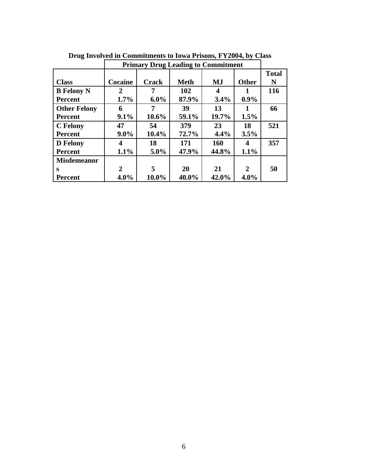|                     | <b>Primary Drug Leading to Commitment</b> |              |             |            |              |              |
|---------------------|-------------------------------------------|--------------|-------------|------------|--------------|--------------|
|                     |                                           |              |             |            |              | <b>Total</b> |
| <b>Class</b>        | Cocaine                                   | <b>Crack</b> | <b>Meth</b> | MJ         | <b>Other</b> | N            |
| <b>B</b> Felony N   | 2                                         |              | 102         | 4          | 1            | 116          |
| <b>Percent</b>      | 1.7%                                      | $6.0\%$      | 87.9%       | 3.4%       | $0.9\%$      |              |
| <b>Other Felony</b> | 6                                         |              | 39          | 13         | 1            | 66           |
| <b>Percent</b>      | 9.1%                                      | $10.6\%$     | 59.1%       | 19.7%      | 1.5%         |              |
| <b>C</b> Felony     | 47                                        | 54           | 379         | 23         | 18           | 521          |
| <b>Percent</b>      | $9.0\%$                                   | $10.4\%$     | 72.7%       | 4.4%       | 3.5%         |              |
| <b>D</b> Felony     | 4                                         | 18           | 171         | <b>160</b> | 4            | 357          |
| <b>Percent</b>      | 1.1%                                      | $5.0\%$      | 47.9%       | 44.8%      | 1.1%         |              |
| <b>Misdemeanor</b>  |                                           |              |             |            |              |              |
| S                   | 2                                         | 5            | 20          | 21         | 2            | 50           |
| <b>Percent</b>      | 4.0%                                      | 10.0%        | 40.0%       | 42.0%      | $4.0\%$      |              |

**Drug Involved in Commitments to Iowa Prisons, FY2004, by Class**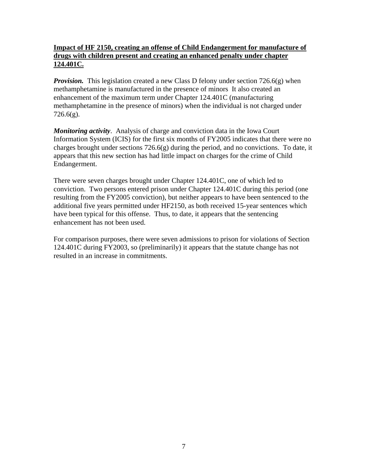## **Impact of HF 2150, creating an offense of Child Endangerment for manufacture of drugs with children present and creating an enhanced penalty under chapter 124.401C.**

*Provision.* This legislation created a new Class D felony under section 726.6(g) when methamphetamine is manufactured in the presence of minors It also created an enhancement of the maximum term under Chapter 124.401C (manufacturing methamphetamine in the presence of minors) when the individual is not charged under  $726.6(g)$ .

*Monitoring activity*. Analysis of charge and conviction data in the Iowa Court Information System (ICIS) for the first six months of FY2005 indicates that there were no charges brought under sections 726.6(g) during the period, and no convictions. To date, it appears that this new section has had little impact on charges for the crime of Child Endangerment.

There were seven charges brought under Chapter 124.401C, one of which led to conviction. Two persons entered prison under Chapter 124.401C during this period (one resulting from the FY2005 conviction), but neither appears to have been sentenced to the additional five years permitted under HF2150, as both received 15-year sentences which have been typical for this offense. Thus, to date, it appears that the sentencing enhancement has not been used.

For comparison purposes, there were seven admissions to prison for violations of Section 124.401C during FY2003, so (preliminarily) it appears that the statute change has not resulted in an increase in commitments.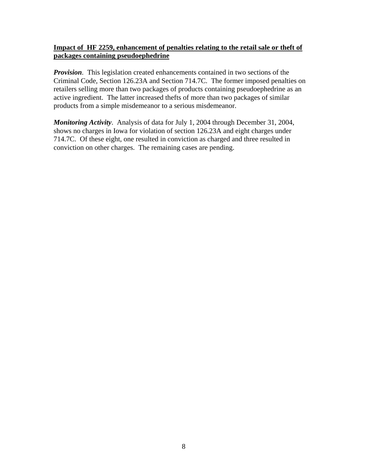## **Impact of HF 2259, enhancement of penalties relating to the retail sale or theft of packages containing pseudoephedrine**

*Provision*. This legislation created enhancements contained in two sections of the Criminal Code, Section 126.23A and Section 714.7C. The former imposed penalties on retailers selling more than two packages of products containing pseudoephedrine as an active ingredient. The latter increased thefts of more than two packages of similar products from a simple misdemeanor to a serious misdemeanor.

*Monitoring Activity*. Analysis of data for July 1, 2004 through December 31, 2004, shows no charges in Iowa for violation of section 126.23A and eight charges under 714.7C. Of these eight, one resulted in conviction as charged and three resulted in conviction on other charges. The remaining cases are pending.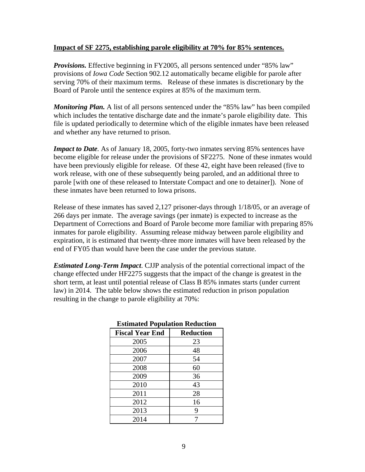#### **Impact of SF 2275, establishing parole eligibility at 70% for 85% sentences.**

*Provisions.* Effective beginning in FY2005, all persons sentenced under "85% law" provisions of *Iowa Code* Section 902.12 automatically became eligible for parole after serving 70% of their maximum terms. Release of these inmates is discretionary by the Board of Parole until the sentence expires at 85% of the maximum term.

*Monitoring Plan.* A list of all persons sentenced under the "85% law" has been compiled which includes the tentative discharge date and the inmate's parole eligibility date. This file is updated periodically to determine which of the eligible inmates have been released and whether any have returned to prison.

*Impact to Date*. As of January 18, 2005, forty-two inmates serving 85% sentences have become eligible for release under the provisions of SF2275. None of these inmates would have been previously eligible for release. Of these 42, eight have been released (five to work release, with one of these subsequently being paroled, and an additional three to parole [with one of these released to Interstate Compact and one to detainer]). None of these inmates have been returned to Iowa prisons.

Release of these inmates has saved 2,127 prisoner-days through 1/18/05, or an average of 266 days per inmate. The average savings (per inmate) is expected to increase as the Department of Corrections and Board of Parole become more familiar with preparing 85% inmates for parole eligibility. Assuming release midway between parole eligibility and expiration, it is estimated that twenty-three more inmates will have been released by the end of FY05 than would have been the case under the previous statute.

*Estimated Long-Term Impact*. CJJP analysis of the potential correctional impact of the change effected under HF2275 suggests that the impact of the change is greatest in the short term, at least until potential release of Class B 85% inmates starts (under current law) in 2014. The table below shows the estimated reduction in prison population resulting in the change to parole eligibility at 70%:

| <b>ESUMATE LA OPULATION REGULTION</b> |                  |  |  |  |
|---------------------------------------|------------------|--|--|--|
| <b>Fiscal Year End</b>                | <b>Reduction</b> |  |  |  |
| 2005                                  | 23               |  |  |  |
| 2006                                  | 48               |  |  |  |
| 2007                                  | 54               |  |  |  |
| 2008                                  | 60               |  |  |  |
| 2009                                  | 36               |  |  |  |
| 2010                                  | 43               |  |  |  |
| 2011                                  | 28               |  |  |  |
| 2012                                  | 16               |  |  |  |
| 2013                                  | 9                |  |  |  |
| 2014                                  |                  |  |  |  |

## **Estimated Population Reduction**